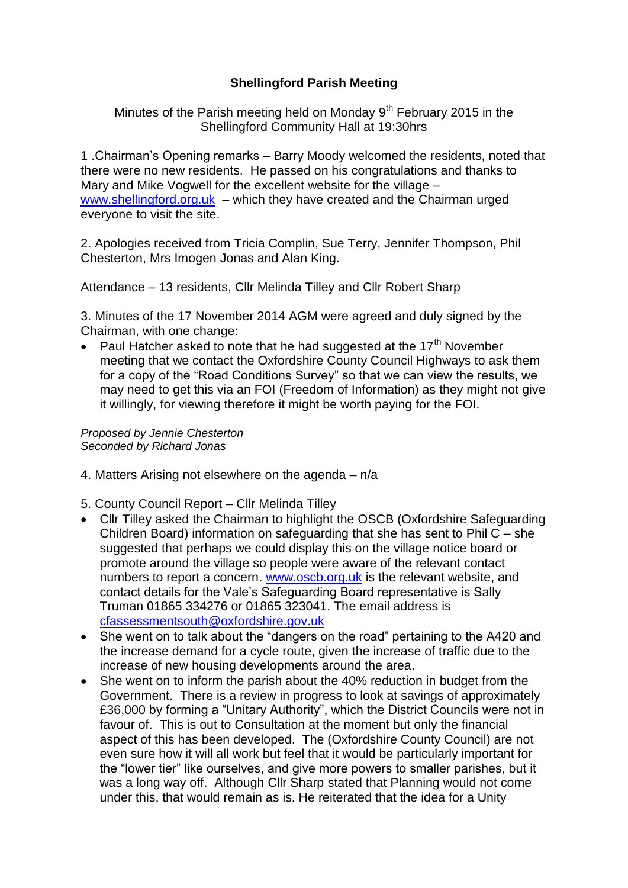## **Shellingford Parish Meeting**

Minutes of the Parish meeting held on Monday  $9<sup>th</sup>$  February 2015 in the Shellingford Community Hall at 19:30hrs

1 .Chairman's Opening remarks – Barry Moody welcomed the residents, noted that there were no new residents. He passed on his congratulations and thanks to Mary and Mike Vogwell for the excellent website for the village – [www.shellingford.org.uk](http://www.shellingford.org.uk/) – which they have created and the Chairman urged everyone to visit the site.

2. Apologies received from Tricia Complin, Sue Terry, Jennifer Thompson, Phil Chesterton, Mrs Imogen Jonas and Alan King.

Attendance – 13 residents, Cllr Melinda Tilley and Cllr Robert Sharp

3. Minutes of the 17 November 2014 AGM were agreed and duly signed by the Chairman, with one change:

Paul Hatcher asked to note that he had suggested at the 17<sup>th</sup> November meeting that we contact the Oxfordshire County Council Highways to ask them for a copy of the "Road Conditions Survey" so that we can view the results, we may need to get this via an FOI (Freedom of Information) as they might not give it willingly, for viewing therefore it might be worth paying for the FOI.

*Proposed by Jennie Chesterton Seconded by Richard Jonas*

- 4. Matters Arising not elsewhere on the agenda n/a
- 5. County Council Report Cllr Melinda Tilley
- Cllr Tilley asked the Chairman to highlight the OSCB (Oxfordshire Safeguarding Children Board) information on safeguarding that she has sent to Phil C – she suggested that perhaps we could display this on the village notice board or promote around the village so people were aware of the relevant contact numbers to report a concern. [www.oscb.org.uk](http://www.oscb.org.uk/) is the relevant website, and contact details for the Vale's Safeguarding Board representative is Sally Truman 01865 334276 or 01865 323041. The email address is [cfassessmentsouth@oxfordshire.gov.uk](mailto:cfassessmentsouth@oxfordshire.gov.uk)
- She went on to talk about the "dangers on the road" pertaining to the A420 and the increase demand for a cycle route, given the increase of traffic due to the increase of new housing developments around the area.
- She went on to inform the parish about the 40% reduction in budget from the Government. There is a review in progress to look at savings of approximately £36,000 by forming a "Unitary Authority", which the District Councils were not in favour of. This is out to Consultation at the moment but only the financial aspect of this has been developed. The (Oxfordshire County Council) are not even sure how it will all work but feel that it would be particularly important for the "lower tier" like ourselves, and give more powers to smaller parishes, but it was a long way off. Although Cllr Sharp stated that Planning would not come under this, that would remain as is. He reiterated that the idea for a Unity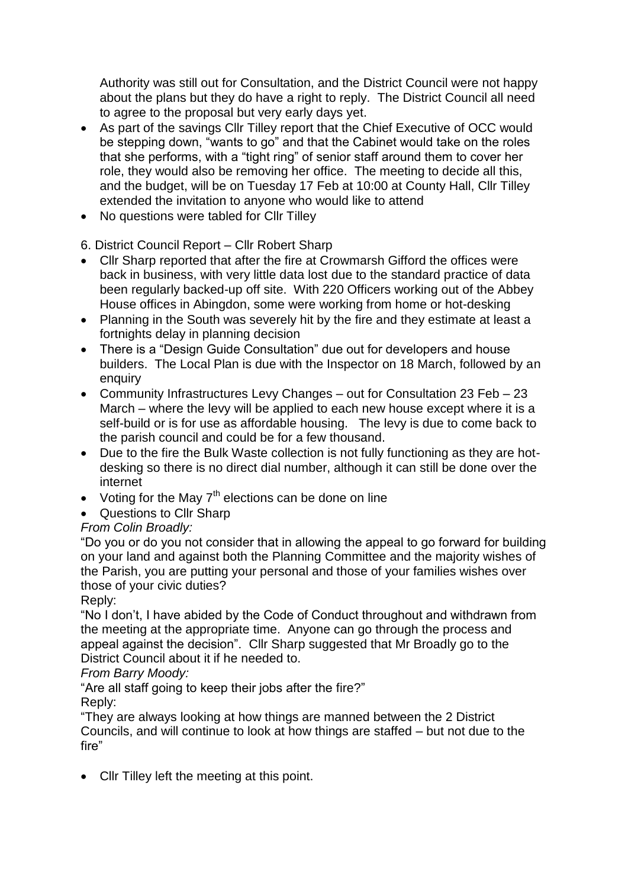Authority was still out for Consultation, and the District Council were not happy about the plans but they do have a right to reply. The District Council all need to agree to the proposal but very early days yet.

- As part of the savings Cllr Tilley report that the Chief Executive of OCC would be stepping down, "wants to go" and that the Cabinet would take on the roles that she performs, with a "tight ring" of senior staff around them to cover her role, they would also be removing her office. The meeting to decide all this, and the budget, will be on Tuesday 17 Feb at 10:00 at County Hall, Cllr Tilley extended the invitation to anyone who would like to attend
- No questions were tabled for Cllr Tilley

## 6. District Council Report – Cllr Robert Sharp

- Cllr Sharp reported that after the fire at Crowmarsh Gifford the offices were back in business, with very little data lost due to the standard practice of data been regularly backed-up off site. With 220 Officers working out of the Abbey House offices in Abingdon, some were working from home or hot-desking
- Planning in the South was severely hit by the fire and they estimate at least a fortnights delay in planning decision
- There is a "Design Guide Consultation" due out for developers and house builders. The Local Plan is due with the Inspector on 18 March, followed by an enquiry
- Community Infrastructures Levy Changes out for Consultation 23 Feb 23 March – where the levy will be applied to each new house except where it is a self-build or is for use as affordable housing. The levy is due to come back to the parish council and could be for a few thousand.
- Due to the fire the Bulk Waste collection is not fully functioning as they are hotdesking so there is no direct dial number, although it can still be done over the internet
- Voting for the May  $7<sup>th</sup>$  elections can be done on line
- Questions to Cllr Sharp

# *From Colin Broadly:*

"Do you or do you not consider that in allowing the appeal to go forward for building on your land and against both the Planning Committee and the majority wishes of the Parish, you are putting your personal and those of your families wishes over those of your civic duties?

## Reply:

"No I don't, I have abided by the Code of Conduct throughout and withdrawn from the meeting at the appropriate time. Anyone can go through the process and appeal against the decision". Cllr Sharp suggested that Mr Broadly go to the District Council about it if he needed to.

## *From Barry Moody:*

"Are all staff going to keep their jobs after the fire?"

Reply:

"They are always looking at how things are manned between the 2 District Councils, and will continue to look at how things are staffed – but not due to the fire"

• Cllr Tilley left the meeting at this point.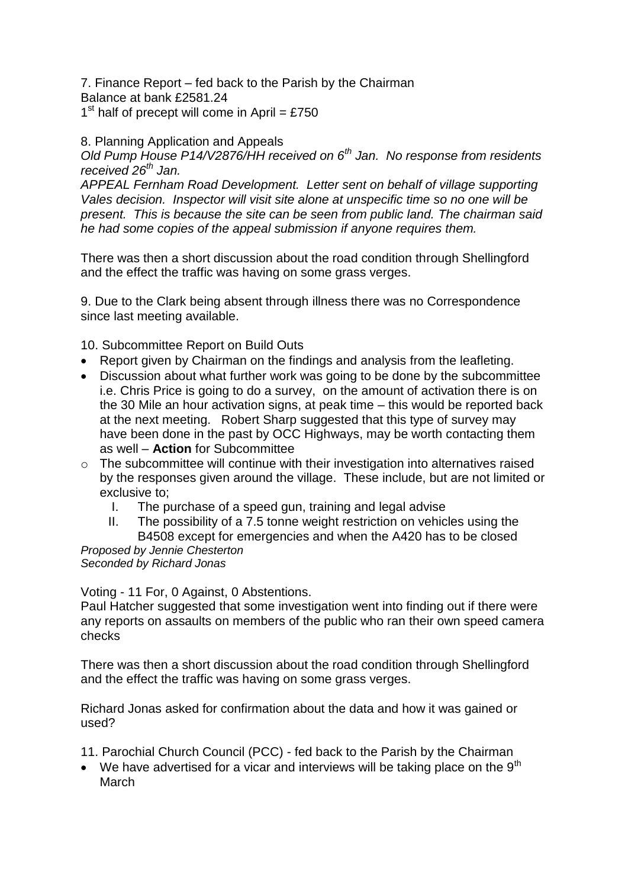7. Finance Report – fed back to the Parish by the Chairman Balance at bank £2581.24

 $1<sup>st</sup>$  half of precept will come in April = £750

#### 8. Planning Application and Appeals

*Old Pump House P14/V2876/HH received on 6th Jan. No response from residents received 26th Jan.*

*APPEAL Fernham Road Development. Letter sent on behalf of village supporting Vales decision. Inspector will visit site alone at unspecific time so no one will be present. This is because the site can be seen from public land. The chairman said he had some copies of the appeal submission if anyone requires them.*

There was then a short discussion about the road condition through Shellingford and the effect the traffic was having on some grass verges.

9. Due to the Clark being absent through illness there was no Correspondence since last meeting available.

10. Subcommittee Report on Build Outs

- Report given by Chairman on the findings and analysis from the leafleting.
- Discussion about what further work was going to be done by the subcommittee i.e. Chris Price is going to do a survey, on the amount of activation there is on the 30 Mile an hour activation signs, at peak time – this would be reported back at the next meeting. Robert Sharp suggested that this type of survey may have been done in the past by OCC Highways, may be worth contacting them as well – **Action** for Subcommittee
- o The subcommittee will continue with their investigation into alternatives raised by the responses given around the village. These include, but are not limited or exclusive to;
	- I. The purchase of a speed gun, training and legal advise
- II. The possibility of a 7.5 tonne weight restriction on vehicles using the B4508 except for emergencies and when the A420 has to be closed *Proposed by Jennie Chesterton*

#### *Seconded by Richard Jonas*

Voting - 11 For, 0 Against, 0 Abstentions.

Paul Hatcher suggested that some investigation went into finding out if there were any reports on assaults on members of the public who ran their own speed camera checks

There was then a short discussion about the road condition through Shellingford and the effect the traffic was having on some grass verges.

Richard Jonas asked for confirmation about the data and how it was gained or used?

11. Parochial Church Council (PCC) - fed back to the Parish by the Chairman

 $\bullet$  We have advertised for a vicar and interviews will be taking place on the 9<sup>th</sup> March